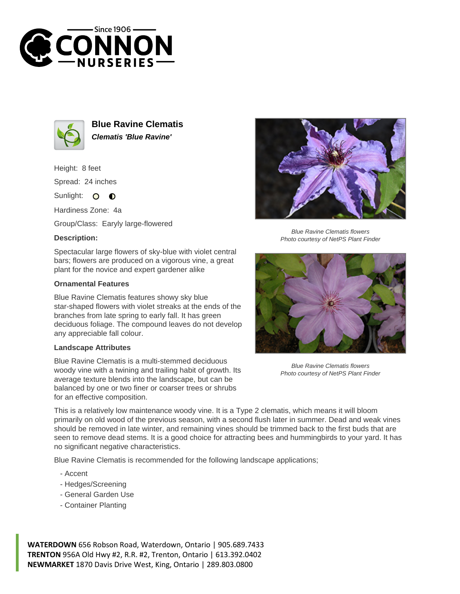



**Blue Ravine Clematis Clematis 'Blue Ravine'**

Height: 8 feet Spread: 24 inches

Sunlight:  $\Omega$  $\bullet$ 

Hardiness Zone: 4a

Group/Class: Earyly large-flowered

## **Description:**

Spectacular large flowers of sky-blue with violet central bars; flowers are produced on a vigorous vine, a great plant for the novice and expert gardener alike

## **Ornamental Features**

Blue Ravine Clematis features showy sky blue star-shaped flowers with violet streaks at the ends of the branches from late spring to early fall. It has green deciduous foliage. The compound leaves do not develop any appreciable fall colour.

## **Landscape Attributes**

Blue Ravine Clematis is a multi-stemmed deciduous woody vine with a twining and trailing habit of growth. Its average texture blends into the landscape, but can be balanced by one or two finer or coarser trees or shrubs for an effective composition.



Blue Ravine Clematis flowers Photo courtesy of NetPS Plant Finder



Blue Ravine Clematis flowers Photo courtesy of NetPS Plant Finder

This is a relatively low maintenance woody vine. It is a Type 2 clematis, which means it will bloom primarily on old wood of the previous season, with a second flush later in summer. Dead and weak vines should be removed in late winter, and remaining vines should be trimmed back to the first buds that are seen to remove dead stems. It is a good choice for attracting bees and hummingbirds to your yard. It has no significant negative characteristics.

Blue Ravine Clematis is recommended for the following landscape applications;

- Accent
- Hedges/Screening
- General Garden Use
- Container Planting

**WATERDOWN** 656 Robson Road, Waterdown, Ontario | 905.689.7433 **TRENTON** 956A Old Hwy #2, R.R. #2, Trenton, Ontario | 613.392.0402 **NEWMARKET** 1870 Davis Drive West, King, Ontario | 289.803.0800